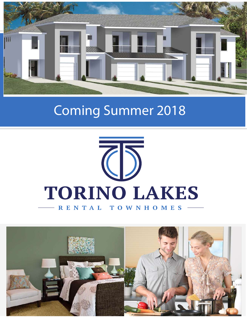

# Coming Summer 2018



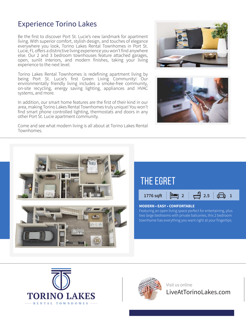#### Experience Torino Lakes

Be the first to discover Port St. Lucie's new landmark for apartment living. With superior comfort, stylish design, and touches of elegance everywhere you look, Torino Lakes Rental Townhomes in Port St. Lucie, FL offers a distinctive living experience you won't find anywhere else. Our 2 and 3 bedroom townhouses feature attached garages, open, sunlit interiors, and modern finishes, taking your living experience to the next level.

Torino Lakes Rental Townhomes is redefining apartment living by being Port St. Lucie's first Green Living Community! Our environmentally friendly living includes a smoke-free community, on-site recycling, energy saving lighting, appliances and HVAC systems, and more.

In addition, our smart home features are the first of their kind in our area, making Torino Lakes Rental Townhomes truly unique! You won't find smart phone controlled lighting, thermostats and doors in any other Port St. Lucie apartment community.



Come and see what modern living is all about at Torino Lakes Rental Townhomes.







Visit us online LiveAtTorinoLakes.com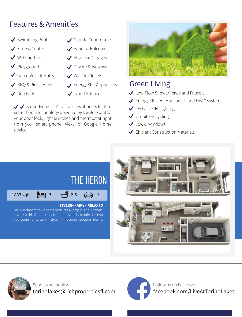## Features & Amenities

- ◆ Swimming Pool
- **√** Fitness Center
- $\blacktriangledown$  Walking Trail
- Playground  $\blacktriangledown$
- Gated Vehicle Entry
- BBQ & Picnic Areas
- ◆ Dog Park

device.

- Granite Countertops
- Patios & Balconies
- ◆ Attached Garages
- ◆ Private Driveways
- Walk In Closets

 $\bigvee$  Island Kitchens

 $\sqrt{\checkmark}$  Smart Homes - All of our townhomes feature smart home technology powered by Dwelo. Control your door lock, light switches and thermostat right from your smart phone, Alexa, or Google Home

Energy Star Appliances



# Green Living

- ◆ Low-Flow Showerheads and Faucets
- Energy Efficient Appliances and HVAC systems
- ↓ LED and CFL lighting
- ◆ On-Site Recycling
- **◆ Low-E Windows**
- $\blacktriangleright$  Efficient Construction Materials





Send us an inquiry torinolakes@richpropertiesfl.com



Follow us on Facebook facebook.com/LiveAtTorinoLakes